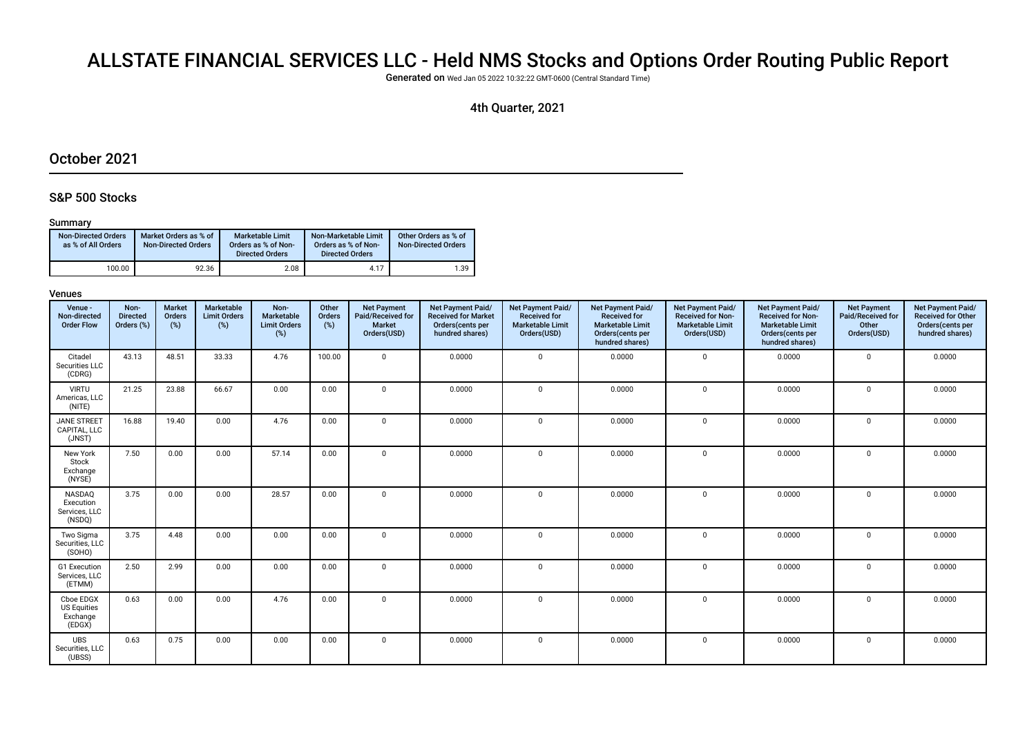# ALLSTATE FINANCIAL SERVICES LLC - Held NMS Stocks and Options Order Routing Public Report

Generated on Wed Jan 05 2022 10:32:22 GMT-0600 (Central Standard Time)

## 4th Quarter, 2021

## October 2021

### S&P 500 Stocks

#### Summary

| <b>Non-Directed Orders</b><br>as % of All Orders | Market Orders as % of<br><b>Non-Directed Orders</b> | Marketable Limit<br>Orders as % of Non-<br><b>Directed Orders</b> | Non-Marketable Limit<br>Orders as % of Non-<br><b>Directed Orders</b> | Other Orders as % of<br><b>Non-Directed Orders</b> |
|--------------------------------------------------|-----------------------------------------------------|-------------------------------------------------------------------|-----------------------------------------------------------------------|----------------------------------------------------|
| 100.00                                           | 92.36                                               | 2.08                                                              | 4.17                                                                  | 1.39                                               |

| Venue -<br>Non-directed<br><b>Order Flow</b>          | Non-<br><b>Directed</b><br>Orders (%) | Market<br>Orders<br>(%) | Marketable<br><b>Limit Orders</b><br>(%) | Non-<br>Marketable<br><b>Limit Orders</b><br>(%) | Other<br>Orders<br>(%) | <b>Net Payment</b><br>Paid/Received for<br>Market<br>Orders(USD) | Net Payment Paid/<br><b>Received for Market</b><br>Orders(cents per<br>hundred shares) | Net Payment Paid/<br><b>Received for</b><br><b>Marketable Limit</b><br>Orders(USD) | Net Payment Paid/<br><b>Received for</b><br><b>Marketable Limit</b><br>Orders(cents per<br>hundred shares) | Net Payment Paid/<br><b>Received for Non-</b><br><b>Marketable Limit</b><br>Orders(USD) | Net Payment Paid/<br><b>Received for Non-</b><br><b>Marketable Limit</b><br>Orders(cents per<br>hundred shares) | <b>Net Payment</b><br>Paid/Received for<br>Other<br>Orders(USD) | Net Payment Paid/<br><b>Received for Other</b><br>Orders(cents per<br>hundred shares) |
|-------------------------------------------------------|---------------------------------------|-------------------------|------------------------------------------|--------------------------------------------------|------------------------|------------------------------------------------------------------|----------------------------------------------------------------------------------------|------------------------------------------------------------------------------------|------------------------------------------------------------------------------------------------------------|-----------------------------------------------------------------------------------------|-----------------------------------------------------------------------------------------------------------------|-----------------------------------------------------------------|---------------------------------------------------------------------------------------|
| Citadel<br>Securities LLC<br>(CDRG)                   | 43.13                                 | 48.51                   | 33.33                                    | 4.76                                             | 100.00                 | $\mathbf 0$                                                      | 0.0000                                                                                 | $\mathbf 0$                                                                        | 0.0000                                                                                                     | $\mathbf 0$                                                                             | 0.0000                                                                                                          | 0                                                               | 0.0000                                                                                |
| <b>VIRTU</b><br>Americas, LLC<br>(NITE)               | 21.25                                 | 23.88                   | 66.67                                    | 0.00                                             | 0.00                   | $\mathbf 0$                                                      | 0.0000                                                                                 | $\Omega$                                                                           | 0.0000                                                                                                     | $\mathbf 0$                                                                             | 0.0000                                                                                                          | $\mathbf 0$                                                     | 0.0000                                                                                |
| <b>JANE STREET</b><br>CAPITAL, LLC<br>(JNST)          | 16.88                                 | 19.40                   | 0.00                                     | 4.76                                             | 0.00                   | $\mathbf{0}$                                                     | 0.0000                                                                                 | $\Omega$                                                                           | 0.0000                                                                                                     | $\Omega$                                                                                | 0.0000                                                                                                          | $\mathbf 0$                                                     | 0.0000                                                                                |
| New York<br>Stock<br>Exchange<br>(NYSE)               | 7.50                                  | 0.00                    | 0.00                                     | 57.14                                            | 0.00                   | $\mathbf 0$                                                      | 0.0000                                                                                 | $\Omega$                                                                           | 0.0000                                                                                                     | $\mathbf{0}$                                                                            | 0.0000                                                                                                          | $\mathbf 0$                                                     | 0.0000                                                                                |
| NASDAQ<br>Execution<br>Services, LLC<br>(NSDQ)        | 3.75                                  | 0.00                    | 0.00                                     | 28.57                                            | 0.00                   | $\mathbf 0$                                                      | 0.0000                                                                                 | $\mathbf 0$                                                                        | 0.0000                                                                                                     | $\mathbf 0$                                                                             | 0.0000                                                                                                          | $\mathbf 0$                                                     | 0.0000                                                                                |
| Two Sigma<br>Securities, LLC<br>(SOHO)                | 3.75                                  | 4.48                    | 0.00                                     | 0.00                                             | 0.00                   | $\mathbf 0$                                                      | 0.0000                                                                                 | $\mathbf 0$                                                                        | 0.0000                                                                                                     | $\mathbf 0$                                                                             | 0.0000                                                                                                          | $\mathbf 0$                                                     | 0.0000                                                                                |
| G1 Execution<br>Services, LLC<br>(ETMM)               | 2.50                                  | 2.99                    | 0.00                                     | 0.00                                             | 0.00                   | $\mathbf 0$                                                      | 0.0000                                                                                 | $\Omega$                                                                           | 0.0000                                                                                                     | $\Omega$                                                                                | 0.0000                                                                                                          | $\mathbf 0$                                                     | 0.0000                                                                                |
| Cboe EDGX<br><b>US Equities</b><br>Exchange<br>(EDGX) | 0.63                                  | 0.00                    | 0.00                                     | 4.76                                             | 0.00                   | $\mathbf 0$                                                      | 0.0000                                                                                 | $\Omega$                                                                           | 0.0000                                                                                                     | $\mathbf 0$                                                                             | 0.0000                                                                                                          | $\mathbf 0$                                                     | 0.0000                                                                                |
| <b>UBS</b><br>Securities, LLC<br>(UBSS)               | 0.63                                  | 0.75                    | 0.00                                     | 0.00                                             | 0.00                   | $\mathbf 0$                                                      | 0.0000                                                                                 | $\mathbf 0$                                                                        | 0.0000                                                                                                     | $\mathbf 0$                                                                             | 0.0000                                                                                                          | 0                                                               | 0.0000                                                                                |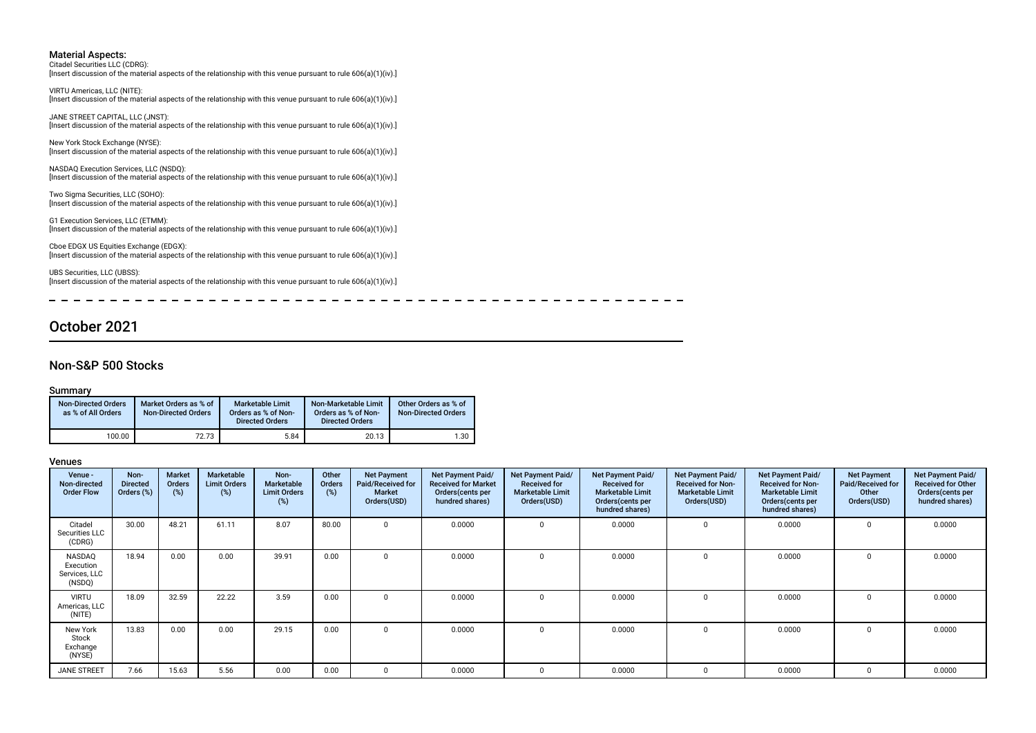Citadel Securities LLC (CDRG): [Insert discussion of the material aspects of the relationship with this venue pursuant to rule 606(a)(1)(iv).]

VIRTU Americas, LLC (NITE): [Insert discussion of the material aspects of the relationship with this venue pursuant to rule 606(a)(1)(iv).]

JANE STREET CAPITAL, LLC (JNST): [Insert discussion of the material aspects of the relationship with this venue pursuant to rule 606(a)(1)(iv).]

New York Stock Exchange (NYSE): [Insert discussion of the material aspects of the relationship with this venue pursuant to rule 606(a)(1)(iv).]

NASDAQ Execution Services, LLC (NSDQ): [Insert discussion of the material aspects of the relationship with this venue pursuant to rule 606(a)(1)(iv).]

Two Sigma Securities, LLC (SOHO): [Insert discussion of the material aspects of the relationship with this venue pursuant to rule 606(a)(1)(iv).]

G1 Execution Services, LLC (ETMM): [Insert discussion of the material aspects of the relationship with this venue pursuant to rule 606(a)(1)(iv).]

Cboe EDGX US Equities Exchange (EDGX): [Insert discussion of the material aspects of the relationship with this venue pursuant to rule 606(a)(1)(iv).]

UBS Securities, LLC (UBSS): [Insert discussion of the material aspects of the relationship with this venue pursuant to rule 606(a)(1)(iv).]

 $-$ 

----------

## October 2021

#### Non-S&P 500 Stocks

#### Summary

| <b>Non-Directed Orders</b><br>as % of All Orders | Market Orders as % of<br><b>Non-Directed Orders</b> | <b>Marketable Limit</b><br>Orders as % of Non-<br><b>Directed Orders</b> | Non-Marketable Limit<br>Orders as % of Non-<br><b>Directed Orders</b> | Other Orders as % of<br><b>Non-Directed Orders</b> |
|--------------------------------------------------|-----------------------------------------------------|--------------------------------------------------------------------------|-----------------------------------------------------------------------|----------------------------------------------------|
| 100.00                                           | 72.73                                               | 5.84                                                                     | 20.13                                                                 | 1.30                                               |

| Venue -<br>Non-directed<br><b>Order Flow</b>   | Non-<br><b>Directed</b><br>Orders (%) | <b>Market</b><br>Orders<br>(%) | Marketable<br><b>Limit Orders</b><br>$(\%)$ | Non-<br>Marketable<br><b>Limit Orders</b><br>(%) | Other<br>Orders<br>(%) | <b>Net Payment</b><br>Paid/Received for<br>Market<br>Orders(USD) | Net Payment Paid/<br><b>Received for Market</b><br>Orders(cents per<br>hundred shares) | Net Payment Paid/<br><b>Received for</b><br><b>Marketable Limit</b><br>Orders(USD) | Net Payment Paid/<br><b>Received for</b><br><b>Marketable Limit</b><br>Orders(cents per<br>hundred shares) | Net Payment Paid/<br><b>Received for Non-</b><br><b>Marketable Limit</b><br>Orders(USD) | Net Payment Paid/<br><b>Received for Non-</b><br><b>Marketable Limit</b><br>Orders (cents per<br>hundred shares) | <b>Net Payment</b><br>Paid/Received for<br>Other<br>Orders(USD) | Net Payment Paid/<br><b>Received for Other</b><br>Orders(cents per<br>hundred shares) |
|------------------------------------------------|---------------------------------------|--------------------------------|---------------------------------------------|--------------------------------------------------|------------------------|------------------------------------------------------------------|----------------------------------------------------------------------------------------|------------------------------------------------------------------------------------|------------------------------------------------------------------------------------------------------------|-----------------------------------------------------------------------------------------|------------------------------------------------------------------------------------------------------------------|-----------------------------------------------------------------|---------------------------------------------------------------------------------------|
| Citadel<br>Securities LLC<br>(CDRG)            | 30.00                                 | 48.21                          | 61.11                                       | 8.07                                             | 80.00                  |                                                                  | 0.0000                                                                                 |                                                                                    | 0.0000                                                                                                     | $\Omega$                                                                                | 0.0000                                                                                                           | $\Omega$                                                        | 0.0000                                                                                |
| NASDAQ<br>Execution<br>Services, LLC<br>(NSDQ) | 18.94                                 | 0.00                           | 0.00                                        | 39.91                                            | 0.00                   | $\Omega$                                                         | 0.0000                                                                                 |                                                                                    | 0.0000                                                                                                     | $\Omega$                                                                                | 0.0000                                                                                                           | $\Omega$                                                        | 0.0000                                                                                |
| <b>VIRTU</b><br>Americas, LLC<br>(NITE)        | 18.09                                 | 32.59                          | 22.22                                       | 3.59                                             | 0.00                   | $\Omega$                                                         | 0.0000                                                                                 |                                                                                    | 0.0000                                                                                                     | $\Omega$                                                                                | 0.0000                                                                                                           | $\Omega$                                                        | 0.0000                                                                                |
| New York<br>Stock<br>Exchange<br>(NYSE)        | 13.83                                 | 0.00                           | 0.00                                        | 29.15                                            | 0.00                   | $^{\circ}$                                                       | 0.0000                                                                                 |                                                                                    | 0.0000                                                                                                     | $\mathbf{0}$                                                                            | 0.0000                                                                                                           | $\mathbf{0}$                                                    | 0.0000                                                                                |
| <b>JANE STREET</b>                             | 7.66                                  | 15.63                          | 5.56                                        | 0.00                                             | 0.00                   | - 0                                                              | 0.0000                                                                                 |                                                                                    | 0.0000                                                                                                     | $\Omega$                                                                                | 0.0000                                                                                                           | $\Omega$                                                        | 0.0000                                                                                |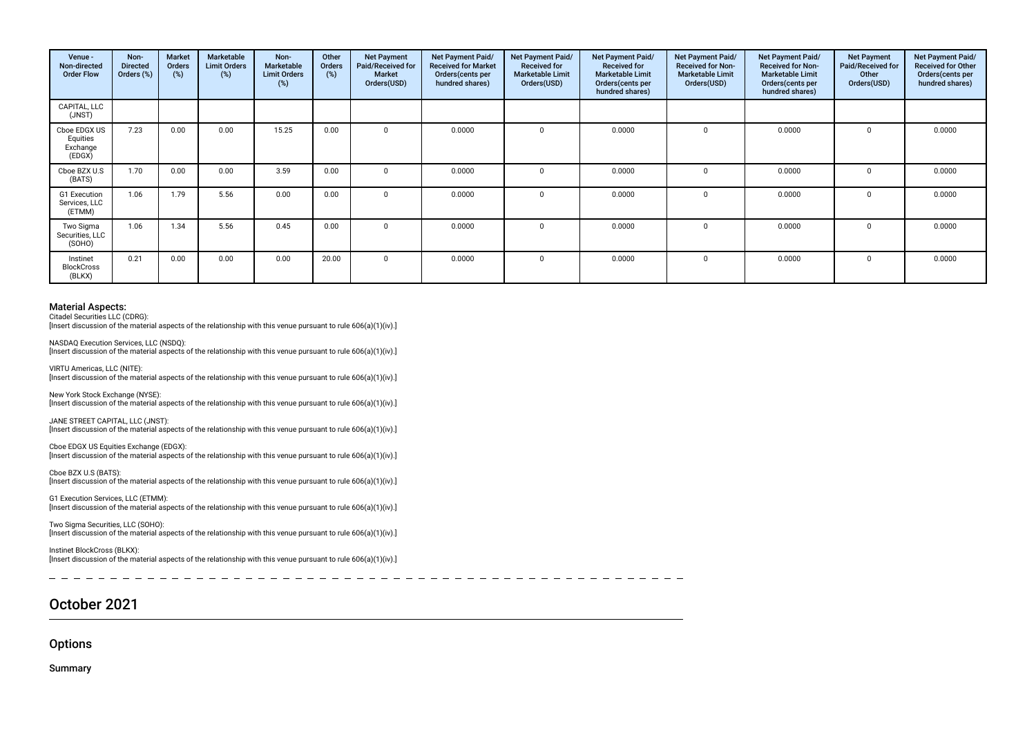| Venue -<br>Non-directed<br><b>Order Flow</b>   | Non-<br><b>Directed</b><br>Orders (%) | Market<br>Orders<br>(%) | Marketable<br><b>Limit Orders</b><br>(%) | Non-<br>Marketable<br><b>Limit Orders</b><br>(%) | Other<br>Orders<br>(%) | <b>Net Payment</b><br>Paid/Received for<br><b>Market</b><br>Orders(USD) | <b>Net Payment Paid/</b><br><b>Received for Market</b><br>Orders (cents per<br>hundred shares) | Net Payment Paid/<br><b>Received for</b><br><b>Marketable Limit</b><br>Orders(USD) | Net Payment Paid/<br><b>Received for</b><br><b>Marketable Limit</b><br>Orders(cents per<br>hundred shares) | Net Payment Paid/<br><b>Received for Non-</b><br><b>Marketable Limit</b><br>Orders(USD) | <b>Net Payment Paid/</b><br><b>Received for Non-</b><br><b>Marketable Limit</b><br>Orders(cents per<br>hundred shares) | <b>Net Payment</b><br>Paid/Received for<br>Other<br>Orders(USD) | Net Payment Paid/<br><b>Received for Other</b><br>Orders(cents per<br>hundred shares) |
|------------------------------------------------|---------------------------------------|-------------------------|------------------------------------------|--------------------------------------------------|------------------------|-------------------------------------------------------------------------|------------------------------------------------------------------------------------------------|------------------------------------------------------------------------------------|------------------------------------------------------------------------------------------------------------|-----------------------------------------------------------------------------------------|------------------------------------------------------------------------------------------------------------------------|-----------------------------------------------------------------|---------------------------------------------------------------------------------------|
| CAPITAL, LLC<br>(JNST)                         |                                       |                         |                                          |                                                  |                        |                                                                         |                                                                                                |                                                                                    |                                                                                                            |                                                                                         |                                                                                                                        |                                                                 |                                                                                       |
| Cboe EDGX US<br>Equities<br>Exchange<br>(EDGX) | 7.23                                  | 0.00                    | 0.00                                     | 15.25                                            | 0.00                   |                                                                         | 0.0000                                                                                         | $\Omega$                                                                           | 0.0000                                                                                                     | $\Omega$                                                                                | 0.0000                                                                                                                 |                                                                 | 0.0000                                                                                |
| Cboe BZX U.S<br>(BATS)                         | 1.70                                  | 0.00                    | 0.00                                     | 3.59                                             | 0.00                   |                                                                         | 0.0000                                                                                         | $\Omega$                                                                           | 0.0000                                                                                                     | $\Omega$                                                                                | 0.0000                                                                                                                 |                                                                 | 0.0000                                                                                |
| G1 Execution<br>Services, LLC<br>(ETMM)        | 1.06                                  | 1.79                    | 5.56                                     | 0.00                                             | 0.00                   |                                                                         | 0.0000                                                                                         |                                                                                    | 0.0000                                                                                                     |                                                                                         | 0.0000                                                                                                                 |                                                                 | 0.0000                                                                                |
| Two Sigma<br>Securities, LLC<br>(SOHO)         | 1.06                                  | 1.34                    | 5.56                                     | 0.45                                             | 0.00                   |                                                                         | 0.0000                                                                                         |                                                                                    | 0.0000                                                                                                     |                                                                                         | 0.0000                                                                                                                 |                                                                 | 0.0000                                                                                |
| Instinet<br><b>BlockCross</b><br>(BLKX)        | 0.21                                  | 0.00                    | 0.00                                     | 0.00                                             | 20.00                  |                                                                         | 0.0000                                                                                         | $\Omega$                                                                           | 0.0000                                                                                                     | $\Omega$                                                                                | 0.0000                                                                                                                 |                                                                 | 0.0000                                                                                |

Citadel Securities LLC (CDRG):

[Insert discussion of the material aspects of the relationship with this venue pursuant to rule 606(a)(1)(iv).]

NASDAQ Execution Services, LLC (NSDQ): [Insert discussion of the material aspects of the relationship with this venue pursuant to rule 606(a)(1)(iv).]

VIRTU Americas, LLC (NITE): [Insert discussion of the material aspects of the relationship with this venue pursuant to rule 606(a)(1)(iv).]

New York Stock Exchange (NYSE): [Insert discussion of the material aspects of the relationship with this venue pursuant to rule  $606(a)(1)(iv)$ .]

JANE STREET CAPITAL, LLC (JNST):  $\lim$ gert discussion of the material aspects of the relationship with this venue pursuant to rule 606(a)(1)(iv).

Cboe EDGX US Equities Exchange (EDGX): [Insert discussion of the material aspects of the relationship with this venue pursuant to rule 606(a)(1)(iv).]

Cboe BZX U.S (BATS): [Insert discussion of the material aspects of the relationship with this venue pursuant to rule 606(a)(1)(iv).]

G1 Execution Services, LLC (ETMM): [Insert discussion of the material aspects of the relationship with this venue pursuant to rule 606(a)(1)(iv).]

Two Sigma Securities, LLC (SOHO): [Insert discussion of the material aspects of the relationship with this venue pursuant to rule 606(a)(1)(iv).]

Instinet BlockCross (BLKX): [Insert discussion of the material aspects of the relationship with this venue pursuant to rule 606(a)(1)(iv).]

## October 2021

**Options** 

Summary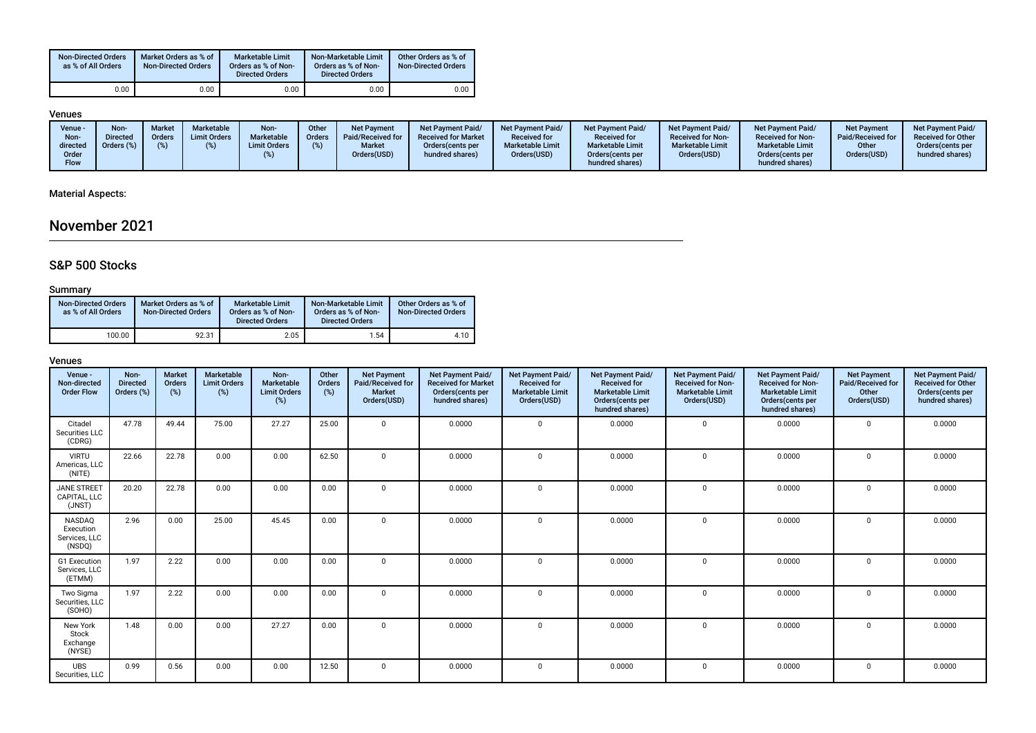| <b>Non-Directed Orders</b><br>as % of All Orders | Market Orders as % of<br><b>Non-Directed Orders</b> | <b>Marketable Limit</b><br>Orders as % of Non-<br><b>Directed Orders</b> | Non-Marketable Limit<br>Orders as % of Non-<br><b>Directed Orders</b> | Other Orders as % of<br><b>Non-Directed Orders</b> |
|--------------------------------------------------|-----------------------------------------------------|--------------------------------------------------------------------------|-----------------------------------------------------------------------|----------------------------------------------------|
| 0.00                                             | 0.00                                                | 0.00                                                                     | 0.00                                                                  | 0.00                                               |

### Venues

### Material Aspects:

## November 2021

## S&P 500 Stocks

### Summary

| <b>Non-Directed Orders</b><br>as % of All Orders | Market Orders as % of<br><b>Non-Directed Orders</b> | Marketable Limit<br>Orders as % of Non-<br><b>Directed Orders</b> | Non-Marketable Limit<br>Orders as % of Non-<br><b>Directed Orders</b> | Other Orders as % of<br><b>Non-Directed Orders</b> |  |
|--------------------------------------------------|-----------------------------------------------------|-------------------------------------------------------------------|-----------------------------------------------------------------------|----------------------------------------------------|--|
| 100.00                                           | 92.31                                               | 2.05                                                              | 1.54                                                                  | 4.10                                               |  |

| Venue -<br>Non-directed<br><b>Order Flow</b>          | Non-<br><b>Directed</b><br>Orders (%) | <b>Market</b><br>Orders<br>(%) | Marketable<br><b>Limit Orders</b><br>(%) | Non-<br>Marketable<br><b>Limit Orders</b><br>(%) | Other<br>Orders<br>(%) | <b>Net Payment</b><br>Paid/Received for<br><b>Market</b><br>Orders(USD) | Net Payment Paid/<br><b>Received for Market</b><br>Orders(cents per<br>hundred shares) | Net Payment Paid/<br><b>Received for</b><br><b>Marketable Limit</b><br>Orders(USD) | Net Payment Paid/<br><b>Received for</b><br><b>Marketable Limit</b><br>Orders(cents per<br>hundred shares) | <b>Net Payment Paid/</b><br><b>Received for Non-</b><br><b>Marketable Limit</b><br>Orders(USD) | <b>Net Payment Paid/</b><br><b>Received for Non-</b><br><b>Marketable Limit</b><br>Orders(cents per<br>hundred shares) | <b>Net Payment</b><br>Paid/Received for<br>Other<br>Orders(USD) | Net Payment Paid/<br><b>Received for Other</b><br>Orders(cents per<br>hundred shares) |
|-------------------------------------------------------|---------------------------------------|--------------------------------|------------------------------------------|--------------------------------------------------|------------------------|-------------------------------------------------------------------------|----------------------------------------------------------------------------------------|------------------------------------------------------------------------------------|------------------------------------------------------------------------------------------------------------|------------------------------------------------------------------------------------------------|------------------------------------------------------------------------------------------------------------------------|-----------------------------------------------------------------|---------------------------------------------------------------------------------------|
| Citadel<br>Securities LLC<br>(CDRG)                   | 47.78                                 | 49.44                          | 75.00                                    | 27.27                                            | 25.00                  | $\mathbf{0}$                                                            | 0.0000                                                                                 | $\Omega$                                                                           | 0.0000                                                                                                     | $\mathbf 0$                                                                                    | 0.0000                                                                                                                 | $\Omega$                                                        | 0.0000                                                                                |
| <b>VIRTU</b><br>Americas, LLC<br>(NITE)               | 22.66                                 | 22.78                          | 0.00                                     | 0.00                                             | 62.50                  | $\mathbf{0}$                                                            | 0.0000                                                                                 | $\Omega$                                                                           | 0.0000                                                                                                     | $\mathbf{0}$                                                                                   | 0.0000                                                                                                                 | $\Omega$                                                        | 0.0000                                                                                |
| <b>JANE STREET</b><br>CAPITAL. LLC<br>(JNST)          | 20.20                                 | 22.78                          | 0.00                                     | 0.00                                             | 0.00                   | $\Omega$                                                                | 0.0000                                                                                 | $\Omega$                                                                           | 0.0000                                                                                                     | $\mathbf 0$                                                                                    | 0.0000                                                                                                                 | $\Omega$                                                        | 0.0000                                                                                |
| <b>NASDAQ</b><br>Execution<br>Services, LLC<br>(NSDQ) | 2.96                                  | 0.00                           | 25.00                                    | 45.45                                            | 0.00                   | $\mathbf{0}$                                                            | 0.0000                                                                                 | $\Omega$                                                                           | 0.0000                                                                                                     | 0                                                                                              | 0.0000                                                                                                                 | $\Omega$                                                        | 0.0000                                                                                |
| G1 Execution<br>Services, LLC<br>(ETMM)               | 1.97                                  | 2.22                           | 0.00                                     | 0.00                                             | 0.00                   | $\Omega$                                                                | 0.0000                                                                                 | $\Omega$                                                                           | 0.0000                                                                                                     | $\Omega$                                                                                       | 0.0000                                                                                                                 | $\Omega$                                                        | 0.0000                                                                                |
| Two Sigma<br>Securities, LLC<br>(SOHO)                | 1.97                                  | 2.22                           | 0.00                                     | 0.00                                             | 0.00                   | $\mathbf{0}$                                                            | 0.0000                                                                                 | $\Omega$                                                                           | 0.0000                                                                                                     | 0                                                                                              | 0.0000                                                                                                                 | $\mathbf 0$                                                     | 0.0000                                                                                |
| New York<br>Stock<br>Exchange<br>(NYSE)               | 1.48                                  | 0.00                           | 0.00                                     | 27.27                                            | 0.00                   | $\mathbf{0}$                                                            | 0.0000                                                                                 | $\Omega$                                                                           | 0.0000                                                                                                     | $\mathbf 0$                                                                                    | 0.0000                                                                                                                 | 0                                                               | 0.0000                                                                                |
| <b>UBS</b><br>Securities, LLC                         | 0.99                                  | 0.56                           | 0.00                                     | 0.00                                             | 12.50                  | $\mathbf{0}$                                                            | 0.0000                                                                                 | $\Omega$                                                                           | 0.0000                                                                                                     | $\mathbf{0}$                                                                                   | 0.0000                                                                                                                 | 0                                                               | 0.0000                                                                                |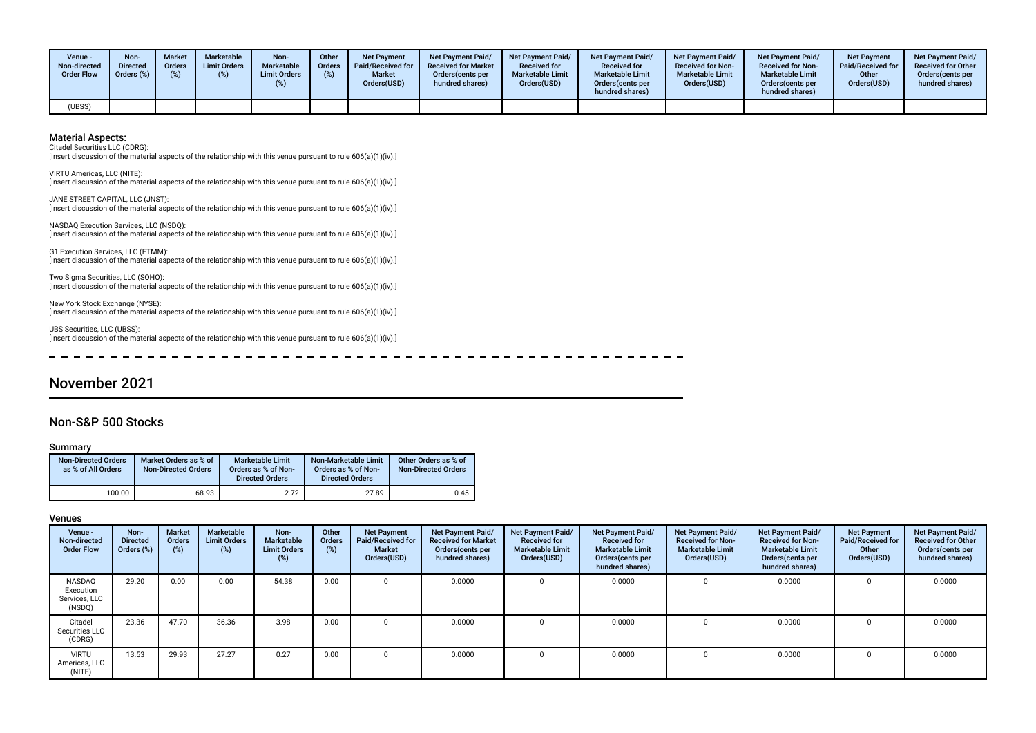| Venue -<br>Non-directed<br><b>Order Flow</b> | Non-<br><b>Directed</b><br>Orders (%) | <b>Market</b><br>Orders<br>(%) | Marketable<br><b>Limit Orders</b><br>(%) | Non-<br>Marketable<br><b>Limit Orders</b> | Other<br><b>Orders</b><br>(%) | <b>Net Payment</b><br>Paid/Received for<br><b>Market</b><br>Orders(USD) | Net Payment Paid/<br><b>Received for Market</b><br>Orders (cents per<br>hundred shares) | <b>Net Payment Paid/</b><br><b>Received for</b><br><b>Marketable Limit</b><br>Orders(USD) | Net Payment Paid/<br><b>Received for</b><br><b>Marketable Limit</b><br>Orders(cents per<br>hundred shares) | <b>Net Payment Paid/</b><br><b>Received for Non-</b><br><b>Marketable Limit</b><br>Orders(USD) | <b>Net Payment Paid/</b><br><b>Received for Non-</b><br><b>Marketable Limit</b><br>Orders (cents per<br>hundred shares) | <b>Net Payment</b><br><b>Paid/Received for</b><br>Other<br>Orders(USD) | <b>Net Payment Paid/</b><br><b>Received for Other</b><br>Orders(cents per<br>hundred shares) |
|----------------------------------------------|---------------------------------------|--------------------------------|------------------------------------------|-------------------------------------------|-------------------------------|-------------------------------------------------------------------------|-----------------------------------------------------------------------------------------|-------------------------------------------------------------------------------------------|------------------------------------------------------------------------------------------------------------|------------------------------------------------------------------------------------------------|-------------------------------------------------------------------------------------------------------------------------|------------------------------------------------------------------------|----------------------------------------------------------------------------------------------|
| (UBSS)                                       |                                       |                                |                                          |                                           |                               |                                                                         |                                                                                         |                                                                                           |                                                                                                            |                                                                                                |                                                                                                                         |                                                                        |                                                                                              |

Citadel Securities LLC (CDRG):

[Insert discussion of the material aspects of the relationship with this venue pursuant to rule 606(a)(1)(iv).]

VIRTU Americas, LLC (NITE): [Insert discussion of the material aspects of the relationship with this venue pursuant to rule 606(a)(1)(iv).]

JANE STREET CAPITAL, LLC (JNST): [Insert discussion of the material aspects of the relationship with this venue pursuant to rule 606(a)(1)(iv).]

NASDAQ Execution Services, LLC (NSDQ): [Insert discussion of the material aspects of the relationship with this venue pursuant to rule 606(a)(1)(iv).]

G1 Execution Services, LLC (ETMM): [Insert discussion of the material aspects of the relationship with this venue pursuant to rule 606(a)(1)(iv).]

Two Sigma Securities, LLC (SOHO): [Insert discussion of the material aspects of the relationship with this venue pursuant to rule 606(a)(1)(iv).]

New York Stock Exchange (NYSE): [Insert discussion of the material aspects of the relationship with this venue pursuant to rule 606(a)(1)(iv).]

UBS Securities, LLC (UBSS): [Insert discussion of the material aspects of the relationship with this venue pursuant to rule 606(a)(1)(iv).]

## November 2021

### Non-S&P 500 Stocks

#### Summary

| <b>Non-Directed Orders</b><br>as % of All Orders | Market Orders as % of<br><b>Non-Directed Orders</b> | <b>Marketable Limit</b><br>Orders as % of Non-<br><b>Directed Orders</b> | Non-Marketable Limit<br>Orders as % of Non-<br><b>Directed Orders</b> | Other Orders as % of<br><b>Non-Directed Orders</b> |
|--------------------------------------------------|-----------------------------------------------------|--------------------------------------------------------------------------|-----------------------------------------------------------------------|----------------------------------------------------|
| 100.00                                           | 68.93                                               | 2.72                                                                     | 27.89                                                                 | 0.45                                               |

| Venue -<br>Non-directed<br><b>Order Flow</b>   | Non-<br><b>Directed</b><br>Orders (%) | <b>Market</b><br><b>Orders</b><br>(%) | Marketable<br><b>Limit Orders</b><br>$(\%)$ | Non-<br>Marketable<br><b>Limit Orders</b> | Other<br>Orders<br>(%) | <b>Net Payment</b><br>Paid/Received for<br><b>Market</b><br>Orders(USD) | Net Payment Paid/<br><b>Received for Market</b><br>Orders (cents per<br>hundred shares) | Net Payment Paid/<br><b>Received for</b><br><b>Marketable Limit</b><br>Orders(USD) | Net Payment Paid/<br><b>Received for</b><br><b>Marketable Limit</b><br>Orders (cents per<br>hundred shares) | Net Payment Paid/<br><b>Received for Non-</b><br><b>Marketable Limit</b><br>Orders(USD) | <b>Net Payment Paid/</b><br><b>Received for Non-</b><br><b>Marketable Limit</b><br>Orders (cents per<br>hundred shares) | <b>Net Payment</b><br>Paid/Received for<br>Other<br>Orders(USD) | Net Payment Paid/<br><b>Received for Other</b><br>Orders(cents per<br>hundred shares) |
|------------------------------------------------|---------------------------------------|---------------------------------------|---------------------------------------------|-------------------------------------------|------------------------|-------------------------------------------------------------------------|-----------------------------------------------------------------------------------------|------------------------------------------------------------------------------------|-------------------------------------------------------------------------------------------------------------|-----------------------------------------------------------------------------------------|-------------------------------------------------------------------------------------------------------------------------|-----------------------------------------------------------------|---------------------------------------------------------------------------------------|
| NASDAO<br>Execution<br>Services, LLC<br>(NSDQ) | 29.20                                 | 0.00                                  | 0.00                                        | 54.38                                     | 0.00                   |                                                                         | 0.0000                                                                                  | 0                                                                                  | 0.0000                                                                                                      | $\Omega$                                                                                | 0.0000                                                                                                                  |                                                                 | 0.0000                                                                                |
| Citadel<br>Securities LLC<br>(CDRG)            | 23.36                                 | 47.70                                 | 36.36                                       | 3.98                                      | 0.00                   |                                                                         | 0.0000                                                                                  |                                                                                    | 0.0000                                                                                                      |                                                                                         | 0.0000                                                                                                                  |                                                                 | 0.0000                                                                                |
| <b>VIRTU</b><br>Americas, LLC<br>(NITE)        | 13.53                                 | 29.93                                 | 27.27                                       | 0.27                                      | 0.00                   |                                                                         | 0.0000                                                                                  | 0                                                                                  | 0.0000                                                                                                      |                                                                                         | 0.0000                                                                                                                  |                                                                 | 0.0000                                                                                |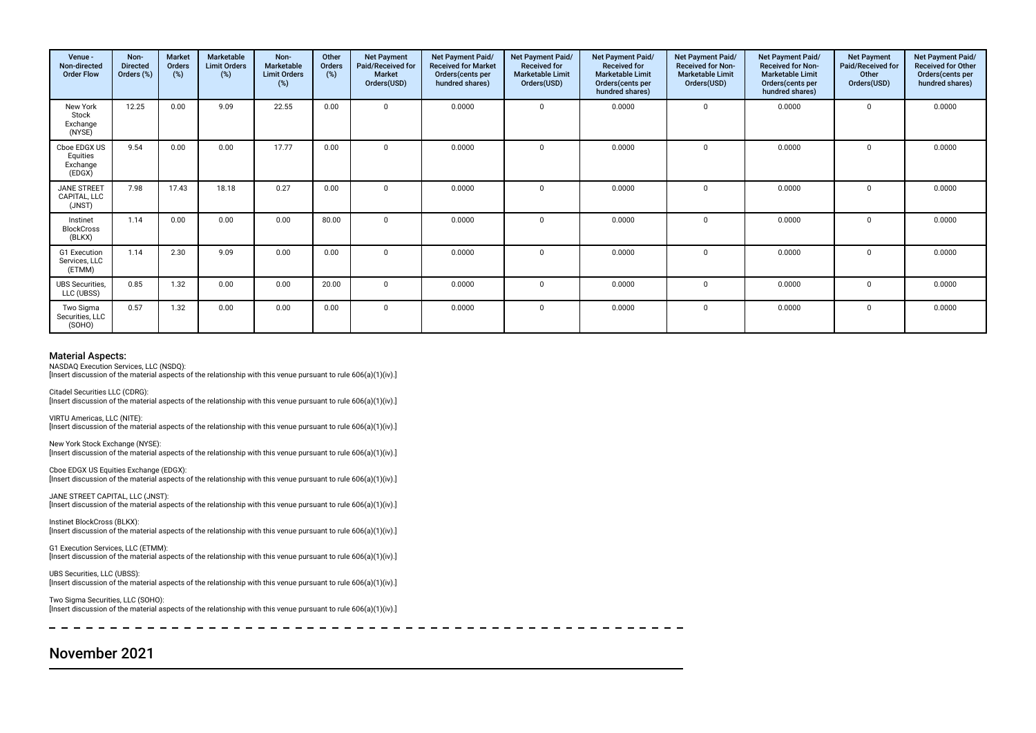| Venue -<br>Non-directed<br><b>Order Flow</b>   | Non-<br><b>Directed</b><br>Orders (%) | <b>Market</b><br>Orders<br>(%) | Marketable<br><b>Limit Orders</b><br>(%) | Non-<br>Marketable<br><b>Limit Orders</b><br>(%) | Other<br>Orders<br>(%) | <b>Net Payment</b><br>Paid/Received for<br><b>Market</b><br>Orders(USD) | Net Payment Paid/<br><b>Received for Market</b><br>Orders (cents per<br>hundred shares) | Net Payment Paid/<br><b>Received for</b><br><b>Marketable Limit</b><br>Orders(USD) | Net Payment Paid/<br><b>Received for</b><br><b>Marketable Limit</b><br>Orders(cents per<br>hundred shares) | Net Payment Paid/<br><b>Received for Non-</b><br><b>Marketable Limit</b><br>Orders(USD) | Net Payment Paid/<br><b>Received for Non-</b><br><b>Marketable Limit</b><br>Orders (cents per<br>hundred shares) | <b>Net Payment</b><br>Paid/Received for<br>Other<br>Orders(USD) | Net Payment Paid/<br><b>Received for Other</b><br>Orders(cents per<br>hundred shares) |
|------------------------------------------------|---------------------------------------|--------------------------------|------------------------------------------|--------------------------------------------------|------------------------|-------------------------------------------------------------------------|-----------------------------------------------------------------------------------------|------------------------------------------------------------------------------------|------------------------------------------------------------------------------------------------------------|-----------------------------------------------------------------------------------------|------------------------------------------------------------------------------------------------------------------|-----------------------------------------------------------------|---------------------------------------------------------------------------------------|
| New York<br>Stock<br>Exchange<br>(NYSE)        | 12.25                                 | 0.00                           | 9.09                                     | 22.55                                            | 0.00                   | $\Omega$                                                                | 0.0000                                                                                  | $\mathbf 0$                                                                        | 0.0000                                                                                                     | $\mathbf{0}$                                                                            | 0.0000                                                                                                           | $\Omega$                                                        | 0.0000                                                                                |
| Cboe EDGX US<br>Equities<br>Exchange<br>(EDGX) | 9.54                                  | 0.00                           | 0.00                                     | 17.77                                            | 0.00                   | $\Omega$                                                                | 0.0000                                                                                  | $^{\circ}$                                                                         | 0.0000                                                                                                     | 0                                                                                       | 0.0000                                                                                                           | $\mathbf 0$                                                     | 0.0000                                                                                |
| <b>JANE STREET</b><br>CAPITAL, LLC<br>(JNST)   | 7.98                                  | 17.43                          | 18.18                                    | 0.27                                             | 0.00                   | n                                                                       | 0.0000                                                                                  | $\Omega$                                                                           | 0.0000                                                                                                     | $\Omega$                                                                                | 0.0000                                                                                                           | $\Omega$                                                        | 0.0000                                                                                |
| Instinet<br><b>BlockCross</b><br>(BLKX)        | 1.14                                  | 0.00                           | 0.00                                     | 0.00                                             | 80.00                  |                                                                         | 0.0000                                                                                  | $\Omega$                                                                           | 0.0000                                                                                                     | $\Omega$                                                                                | 0.0000                                                                                                           | $\Omega$                                                        | 0.0000                                                                                |
| G1 Execution<br>Services, LLC<br>(ETMM)        | 1.14                                  | 2.30                           | 9.09                                     | 0.00                                             | 0.00                   |                                                                         | 0.0000                                                                                  | $\mathbf 0$                                                                        | 0.0000                                                                                                     | $\mathbf 0$                                                                             | 0.0000                                                                                                           | $\Omega$                                                        | 0.0000                                                                                |
| <b>UBS Securities,</b><br>LLC (UBSS)           | 0.85                                  | 1.32                           | 0.00                                     | 0.00                                             | 20.00                  | $\Omega$                                                                | 0.0000                                                                                  | $\mathbf 0$                                                                        | 0.0000                                                                                                     | $\mathbf 0$                                                                             | 0.0000                                                                                                           | $\Omega$                                                        | 0.0000                                                                                |
| Two Sigma<br>Securities, LLC<br>(SOHO)         | 0.57                                  | 1.32                           | 0.00                                     | 0.00                                             | 0.00                   | $\Omega$                                                                | 0.0000                                                                                  | $\mathbf 0$                                                                        | 0.0000                                                                                                     | $\Omega$                                                                                | 0.0000                                                                                                           | $\mathbf 0$                                                     | 0.0000                                                                                |

NASDAQ Execution Services, LLC (NSDQ):

[Insert discussion of the material aspects of the relationship with this venue pursuant to rule 606(a)(1)(iv).]

Citadel Securities LLC (CDRG): [Insert discussion of the material aspects of the relationship with this venue pursuant to rule 606(a)(1)(iv).]

VIRTU Americas, LLC (NITE): [Insert discussion of the material aspects of the relationship with this venue pursuant to rule 606(a)(1)(iv).]

New York Stock Exchange (NYSE): [Insert discussion of the material aspects of the relationship with this venue pursuant to rule 606(a)(1)(iv).]

Cboe EDGX US Equities Exchange (EDGX): [Insert discussion of the material aspects of the relationship with this venue pursuant to rule 606(a)(1)(iv).]

JANE STREET CAPITAL, LLC (JNST): [Insert discussion of the material aspects of the relationship with this venue pursuant to rule 606(a)(1)(iv).]

Instinet BlockCross (BLKX): [Insert discussion of the material aspects of the relationship with this venue pursuant to rule 606(a)(1)(iv).]

G1 Execution Services, LLC (ETMM): [Insert discussion of the material aspects of the relationship with this venue pursuant to rule 606(a)(1)(iv).]

UBS Securities, LLC (UBSS): [Insert discussion of the material aspects of the relationship with this venue pursuant to rule 606(a)(1)(iv).]

Two Sigma Securities, LLC (SOHO): [Insert discussion of the material aspects of the relationship with this venue pursuant to rule 606(a)(1)(iv).]

## November 2021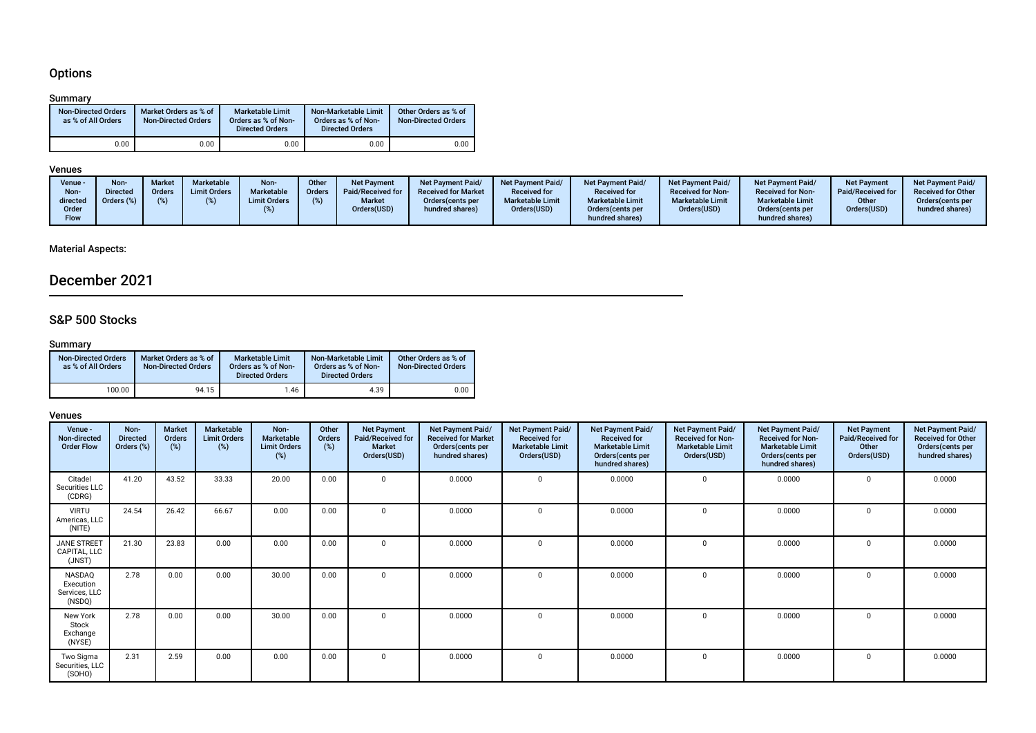## **Options**

### Summary

| <b>Non-Directed Orders</b><br>as % of All Orders | Market Orders as % of<br><b>Non-Directed Orders</b> | <b>Marketable Limit</b><br>Orders as % of Non-<br><b>Directed Orders</b> | Non-Marketable Limit<br>Orders as % of Non-<br><b>Directed Orders</b> | Other Orders as % of<br><b>Non-Directed Orders</b> |
|--------------------------------------------------|-----------------------------------------------------|--------------------------------------------------------------------------|-----------------------------------------------------------------------|----------------------------------------------------|
| 0.00                                             | 0.00                                                | 0.00                                                                     | 0.00                                                                  | 0.00                                               |

### Venues

## Material Aspects:

## December 2021

## S&P 500 Stocks

### Summary

| <b>Non-Directed Orders</b><br>as % of All Orders | Market Orders as % of<br><b>Non-Directed Orders</b> | Marketable Limit<br>Orders as % of Non-<br><b>Directed Orders</b> | Non-Marketable Limit<br>Orders as % of Non-<br><b>Directed Orders</b> | Other Orders as % of<br><b>Non-Directed Orders</b> |
|--------------------------------------------------|-----------------------------------------------------|-------------------------------------------------------------------|-----------------------------------------------------------------------|----------------------------------------------------|
| 100.00                                           | 94.15                                               | 1.46                                                              | 4.39                                                                  | 0.00                                               |

| Venue -<br>Non-directed<br><b>Order Flow</b>   | Non-<br><b>Directed</b><br>Orders (%) | <b>Market</b><br>Orders<br>(%) | Marketable<br><b>Limit Orders</b><br>(%) | Non-<br>Marketable<br><b>Limit Orders</b><br>(%) | Other<br>Orders<br>$(\%)$ | <b>Net Payment</b><br>Paid/Received for<br><b>Market</b><br>Orders(USD) | Net Payment Paid/<br><b>Received for Market</b><br>Orders(cents per<br>hundred shares) | <b>Net Payment Paid/</b><br><b>Received for</b><br><b>Marketable Limit</b><br>Orders(USD) | Net Payment Paid/<br><b>Received for</b><br><b>Marketable Limit</b><br>Orders(cents per<br>hundred shares) | Net Payment Paid/<br><b>Received for Non-</b><br><b>Marketable Limit</b><br>Orders(USD) | Net Payment Paid/<br><b>Received for Non-</b><br><b>Marketable Limit</b><br>Orders(cents per<br>hundred shares) | <b>Net Payment</b><br>Paid/Received for<br>Other<br>Orders(USD) | Net Payment Paid/<br><b>Received for Other</b><br>Orders(cents per<br>hundred shares) |
|------------------------------------------------|---------------------------------------|--------------------------------|------------------------------------------|--------------------------------------------------|---------------------------|-------------------------------------------------------------------------|----------------------------------------------------------------------------------------|-------------------------------------------------------------------------------------------|------------------------------------------------------------------------------------------------------------|-----------------------------------------------------------------------------------------|-----------------------------------------------------------------------------------------------------------------|-----------------------------------------------------------------|---------------------------------------------------------------------------------------|
| Citadel<br>Securities LLC<br>(CDRG)            | 41.20                                 | 43.52                          | 33.33                                    | 20.00                                            | 0.00                      | $\Omega$                                                                | 0.0000                                                                                 |                                                                                           | 0.0000                                                                                                     | $\mathbf 0$                                                                             | 0.0000                                                                                                          | $\Omega$                                                        | 0.0000                                                                                |
| <b>VIRTU</b><br>Americas, LLC<br>(NITE)        | 24.54                                 | 26.42                          | 66.67                                    | 0.00                                             | 0.00                      | $\Omega$                                                                | 0.0000                                                                                 |                                                                                           | 0.0000                                                                                                     |                                                                                         | 0.0000                                                                                                          | 0                                                               | 0.0000                                                                                |
| <b>JANE STREET</b><br>CAPITAL, LLC<br>(JNST)   | 21.30                                 | 23.83                          | 0.00                                     | 0.00                                             | 0.00                      | $\Omega$                                                                | 0.0000                                                                                 |                                                                                           | 0.0000                                                                                                     | $\Omega$                                                                                | 0.0000                                                                                                          | $\Omega$                                                        | 0.0000                                                                                |
| NASDAQ<br>Execution<br>Services, LLC<br>(NSDQ) | 2.78                                  | 0.00                           | 0.00                                     | 30.00                                            | 0.00                      | $\Omega$                                                                | 0.0000                                                                                 | $\Omega$                                                                                  | 0.0000                                                                                                     | 0                                                                                       | 0.0000                                                                                                          | $\Omega$                                                        | 0.0000                                                                                |
| New York<br>Stock<br>Exchange<br>(NYSE)        | 2.78                                  | 0.00                           | 0.00                                     | 30.00                                            | 0.00                      | $\Omega$                                                                | 0.0000                                                                                 |                                                                                           | 0.0000                                                                                                     | $\mathbf 0$                                                                             | 0.0000                                                                                                          | $\mathbf 0$                                                     | 0.0000                                                                                |
| Two Sigma<br>Securities, LLC<br>(SOHO)         | 2.31                                  | 2.59                           | 0.00                                     | 0.00                                             | 0.00                      | $\Omega$                                                                | 0.0000                                                                                 |                                                                                           | 0.0000                                                                                                     | 0                                                                                       | 0.0000                                                                                                          | $\Omega$                                                        | 0.0000                                                                                |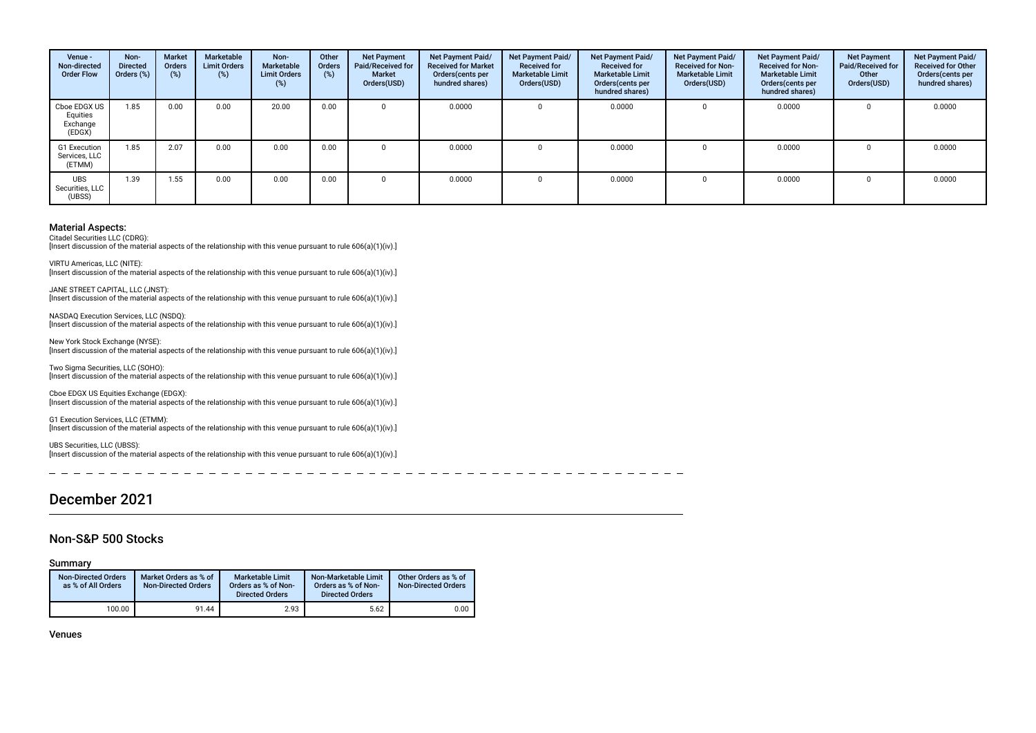| Venue -<br>Non-directed<br><b>Order Flow</b>   | Non-<br><b>Directed</b><br>Orders (%) | Market<br><b>Orders</b><br>$(\%)$ | Marketable<br><b>Limit Orders</b><br>(%) | Non-<br>Marketable<br><b>Limit Orders</b><br>(%) | Other<br>Orders<br>(%) | <b>Net Payment</b><br>Paid/Received for<br><b>Market</b><br>Orders(USD) | Net Payment Paid/<br><b>Received for Market</b><br>Orders(cents per<br>hundred shares) | <b>Net Payment Paid/</b><br><b>Received for</b><br><b>Marketable Limit</b><br>Orders(USD) | <b>Net Payment Paid/</b><br><b>Received for</b><br><b>Marketable Limit</b><br>Orders (cents per<br>hundred shares) | <b>Net Payment Paid/</b><br><b>Received for Non-</b><br><b>Marketable Limit</b><br>Orders(USD) | Net Payment Paid/<br><b>Received for Non-</b><br><b>Marketable Limit</b><br>Orders (cents per<br>hundred shares) | <b>Net Payment</b><br><b>Paid/Received for</b><br>Other<br>Orders(USD) | Net Payment Paid/<br><b>Received for Other</b><br>Orders(cents per<br>hundred shares) |
|------------------------------------------------|---------------------------------------|-----------------------------------|------------------------------------------|--------------------------------------------------|------------------------|-------------------------------------------------------------------------|----------------------------------------------------------------------------------------|-------------------------------------------------------------------------------------------|--------------------------------------------------------------------------------------------------------------------|------------------------------------------------------------------------------------------------|------------------------------------------------------------------------------------------------------------------|------------------------------------------------------------------------|---------------------------------------------------------------------------------------|
| Cboe EDGX US<br>Equities<br>Exchange<br>(EDGX) | 1.85                                  | 0.00                              | 0.00                                     | 20.00                                            | 0.00                   |                                                                         | 0.0000                                                                                 |                                                                                           | 0.0000                                                                                                             | 0                                                                                              | 0.0000                                                                                                           |                                                                        | 0.0000                                                                                |
| G1 Execution<br>Services, LLC<br>(ETMM)        | 1.85                                  | 2.07                              | 0.00                                     | 0.00                                             | 0.00                   |                                                                         | 0.0000                                                                                 |                                                                                           | 0.0000                                                                                                             | 0                                                                                              | 0.0000                                                                                                           |                                                                        | 0.0000                                                                                |
| <b>UBS</b><br>Securities, LLC<br>(UBSS)        | 1.39                                  | 1.55                              | 0.00                                     | 0.00                                             | 0.00                   |                                                                         | 0.0000                                                                                 |                                                                                           | 0.0000                                                                                                             | 0                                                                                              | 0.0000                                                                                                           |                                                                        | 0.0000                                                                                |

Citadel Securities LLC (CDRG):

[Insert discussion of the material aspects of the relationship with this venue pursuant to rule 606(a)(1)(iv).]

VIRTU Americas, LLC (NITE): Insert discussion of the material aspects of the relationship with this venue pursuant to rule 606(a)(1)(iv).]

JANE STREET CAPITAL, LLC (JNST): [Insert discussion of the material aspects of the relationship with this venue pursuant to rule 606(a)(1)(iv).]

NASDAQ Execution Services, LLC (NSDQ): [Insert discussion of the material aspects of the relationship with this venue pursuant to rule 606(a)(1)(iv).]

New York Stock Exchange (NYSE): [Insert discussion of the material aspects of the relationship with this venue pursuant to rule 606(a)(1)(iv).]

Two Sigma Securities, LLC (SOHO): [Insert discussion of the material aspects of the relationship with this venue pursuant to rule 606(a)(1)(iv).]

Cboe EDGX US Equities Exchange (EDGX): [Insert discussion of the material aspects of the relationship with this venue pursuant to rule 606(a)(1)(iv).]

G1 Execution Services, LLC (ETMM): [Insert discussion of the material aspects of the relationship with this venue pursuant to rule 606(a)(1)(iv).]

UBS Securities, LLC (UBSS): [Insert discussion of the material aspects of the relationship with this venue pursuant to rule 606(a)(1)(iv).]

## December 2021

#### Non-S&P 500 Stocks

Summary

| <b>Non-Directed Orders</b><br>as % of All Orders | Market Orders as % of<br><b>Non-Directed Orders</b> | <b>Marketable Limit</b><br>Orders as % of Non-<br><b>Directed Orders</b> | Non-Marketable Limit<br>Orders as % of Non-<br><b>Directed Orders</b> | Other Orders as % of<br><b>Non-Directed Orders</b> |
|--------------------------------------------------|-----------------------------------------------------|--------------------------------------------------------------------------|-----------------------------------------------------------------------|----------------------------------------------------|
| 100.00                                           | 91.44                                               | 2.93                                                                     | 5.62                                                                  | 0.00                                               |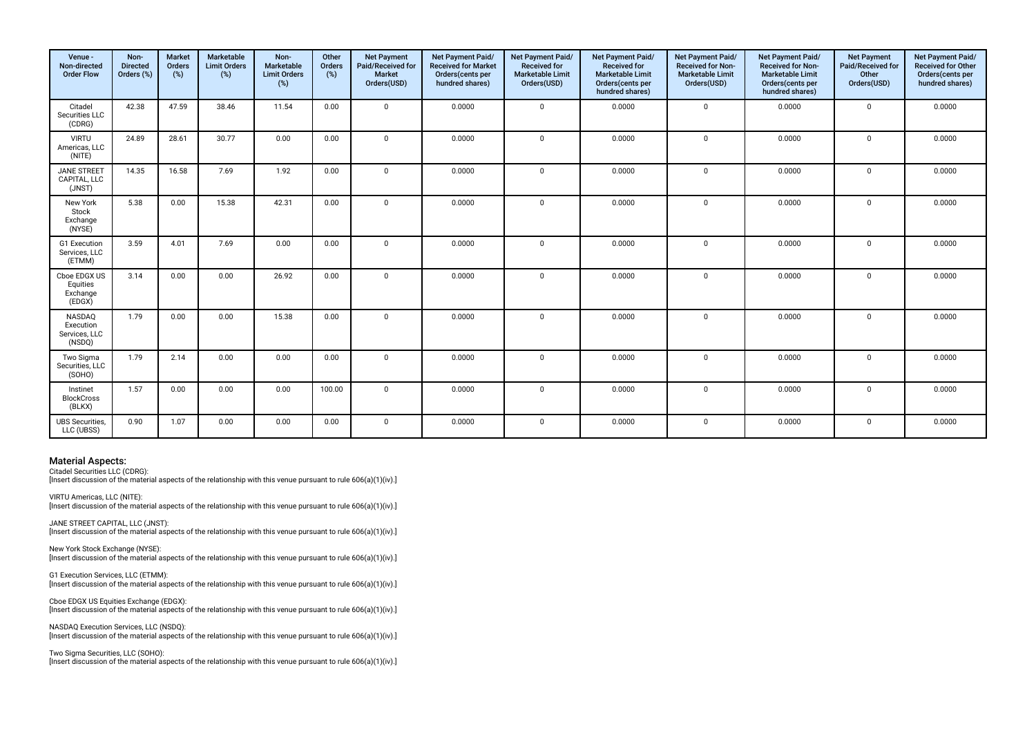| Venue -<br>Non-directed<br><b>Order Flow</b>   | Non-<br><b>Directed</b><br>Orders (%) | <b>Market</b><br>Orders<br>(%) | Marketable<br><b>Limit Orders</b><br>(%) | Non-<br>Marketable<br><b>Limit Orders</b><br>(%) | Other<br>Orders<br>(%) | <b>Net Payment</b><br>Paid/Received for<br><b>Market</b><br>Orders(USD) | Net Payment Paid/<br><b>Received for Market</b><br>Orders(cents per<br>hundred shares) | Net Payment Paid/<br><b>Received for</b><br><b>Marketable Limit</b><br>Orders(USD) | Net Payment Paid/<br><b>Received for</b><br><b>Marketable Limit</b><br>Orders(cents per<br>hundred shares) | Net Payment Paid/<br><b>Received for Non-</b><br><b>Marketable Limit</b><br>Orders(USD) | Net Payment Paid/<br><b>Received for Non-</b><br><b>Marketable Limit</b><br>Orders(cents per<br>hundred shares) | <b>Net Payment</b><br>Paid/Received for<br>Other<br>Orders(USD) | Net Payment Paid/<br><b>Received for Other</b><br>Orders(cents per<br>hundred shares) |
|------------------------------------------------|---------------------------------------|--------------------------------|------------------------------------------|--------------------------------------------------|------------------------|-------------------------------------------------------------------------|----------------------------------------------------------------------------------------|------------------------------------------------------------------------------------|------------------------------------------------------------------------------------------------------------|-----------------------------------------------------------------------------------------|-----------------------------------------------------------------------------------------------------------------|-----------------------------------------------------------------|---------------------------------------------------------------------------------------|
| Citadel<br>Securities LLC<br>(CDRG)            | 42.38                                 | 47.59                          | 38.46                                    | 11.54                                            | 0.00                   | $\Omega$                                                                | 0.0000                                                                                 | $\mathbf 0$                                                                        | 0.0000                                                                                                     | $\mathbf 0$                                                                             | 0.0000                                                                                                          | $\mathbf 0$                                                     | 0.0000                                                                                |
| <b>VIRTU</b><br>Americas, LLC<br>(NITE)        | 24.89                                 | 28.61                          | 30.77                                    | 0.00                                             | 0.00                   | $\mathbf 0$                                                             | 0.0000                                                                                 | $\mathbf 0$                                                                        | 0.0000                                                                                                     | $\mathbf 0$                                                                             | 0.0000                                                                                                          | $\mathbf{0}$                                                    | 0.0000                                                                                |
| <b>JANE STREET</b><br>CAPITAL, LLC<br>(JNST)   | 14.35                                 | 16.58                          | 7.69                                     | 1.92                                             | 0.00                   | $\mathbf 0$                                                             | 0.0000                                                                                 | $\Omega$                                                                           | 0.0000                                                                                                     | $\mathbf 0$                                                                             | 0.0000                                                                                                          | $\mathbf{0}$                                                    | 0.0000                                                                                |
| New York<br>Stock<br>Exchange<br>(NYSE)        | 5.38                                  | 0.00                           | 15.38                                    | 42.31                                            | 0.00                   | $\mathbf 0$                                                             | 0.0000                                                                                 | $\mathbf 0$                                                                        | 0.0000                                                                                                     | $\mathbf 0$                                                                             | 0.0000                                                                                                          | $\mathsf 0$                                                     | 0.0000                                                                                |
| G1 Execution<br>Services, LLC<br>(ETMM)        | 3.59                                  | 4.01                           | 7.69                                     | 0.00                                             | 0.00                   | $\mathbf 0$                                                             | 0.0000                                                                                 | $\Omega$                                                                           | 0.0000                                                                                                     | $\mathbf 0$                                                                             | 0.0000                                                                                                          | $\mathbf{0}$                                                    | 0.0000                                                                                |
| Cboe EDGX US<br>Equities<br>Exchange<br>(EDGX) | 3.14                                  | 0.00                           | 0.00                                     | 26.92                                            | 0.00                   | $\mathbf{0}$                                                            | 0.0000                                                                                 | $\mathbf 0$                                                                        | 0.0000                                                                                                     | $\mathbf{0}$                                                                            | 0.0000                                                                                                          | $\mathbf 0$                                                     | 0.0000                                                                                |
| NASDAQ<br>Execution<br>Services, LLC<br>(NSDQ) | 1.79                                  | 0.00                           | 0.00                                     | 15.38                                            | 0.00                   | $\mathbf{0}$                                                            | 0.0000                                                                                 | $\mathbf 0$                                                                        | 0.0000                                                                                                     | $\mathbf 0$                                                                             | 0.0000                                                                                                          | $\mathbf{0}$                                                    | 0.0000                                                                                |
| Two Sigma<br>Securities, LLC<br>(SOHO)         | 1.79                                  | 2.14                           | 0.00                                     | 0.00                                             | 0.00                   | $\mathbf 0$                                                             | 0.0000                                                                                 | $\mathbf 0$                                                                        | 0.0000                                                                                                     | $\mathbf 0$                                                                             | 0.0000                                                                                                          | $\mathbf 0$                                                     | 0.0000                                                                                |
| Instinet<br><b>BlockCross</b><br>(BLKX)        | 1.57                                  | 0.00                           | 0.00                                     | 0.00                                             | 100.00                 | $\mathbf{0}$                                                            | 0.0000                                                                                 | $\mathbf 0$                                                                        | 0.0000                                                                                                     | $\mathbf 0$                                                                             | 0.0000                                                                                                          | $\mathbf{0}$                                                    | 0.0000                                                                                |
| <b>UBS</b> Securities,<br>LLC (UBSS)           | 0.90                                  | 1.07                           | 0.00                                     | 0.00                                             | 0.00                   | $\mathbf 0$                                                             | 0.0000                                                                                 | $\mathbf 0$                                                                        | 0.0000                                                                                                     | $\mathbf 0$                                                                             | 0.0000                                                                                                          | $\mathsf 0$                                                     | 0.0000                                                                                |

Citadel Securities LLC (CDRG):

[Insert discussion of the material aspects of the relationship with this venue pursuant to rule 606(a)(1)(iv).]

VIRTU Americas, LLC (NITE): Insert discussion of the material aspects of the relationship with this venue pursuant to rule 606(a)(1)(iv).]

JANE STREET CAPITAL, LLC (JNST): [Insert discussion of the material aspects of the relationship with this venue pursuant to rule 606(a)(1)(iv).]

New York Stock Exchange (NYSE): [Insert discussion of the material aspects of the relationship with this venue pursuant to rule 606(a)(1)(iv).]

G1 Execution Services, LLC (ETMM): [Insert discussion of the material aspects of the relationship with this venue pursuant to rule 606(a)(1)(iv).]

Cboe EDGX US Equities Exchange (EDGX): [Insert discussion of the material aspects of the relationship with this venue pursuant to rule 606(a)(1)(iv).]

NASDAQ Execution Services, LLC (NSDQ): [Insert discussion of the material aspects of the relationship with this venue pursuant to rule 606(a)(1)(iv).]

Two Sigma Securities, LLC (SOHO):

[Insert discussion of the material aspects of the relationship with this venue pursuant to rule 606(a)(1)(iv).]